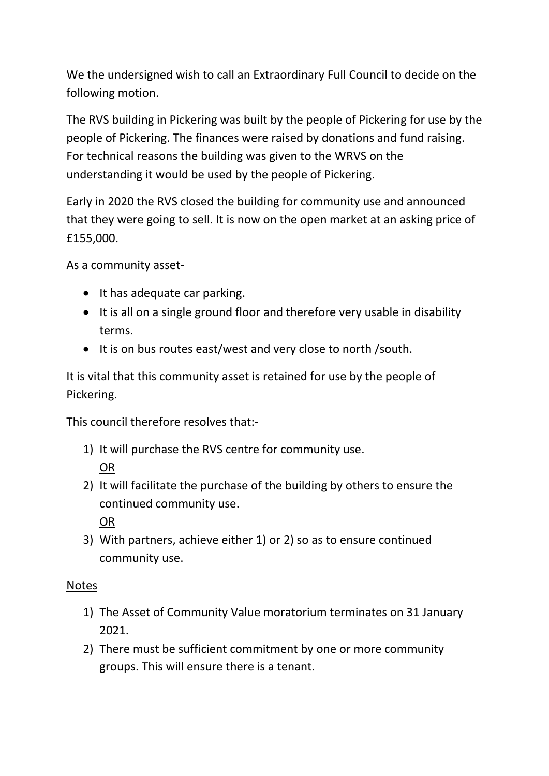We the undersigned wish to call an Extraordinary Full Council to decide on the following motion.

The RVS building in Pickering was built by the people of Pickering for use by the people of Pickering. The finances were raised by donations and fund raising. For technical reasons the building was given to the WRVS on the understanding it would be used by the people of Pickering.

Early in 2020 the RVS closed the building for community use and announced that they were going to sell. It is now on the open market at an asking price of £155,000.

As a community asset-

- It has adequate car parking.
- It is all on a single ground floor and therefore very usable in disability terms.
- It is on bus routes east/west and very close to north / south.

It is vital that this community asset is retained for use by the people of Pickering.

This council therefore resolves that:-

- 1) It will purchase the RVS centre for community use. OR
- 2) It will facilitate the purchase of the building by others to ensure the continued community use.

OR

3) With partners, achieve either 1) or 2) so as to ensure continued community use.

## Notes

- 1) The Asset of Community Value moratorium terminates on 31 January 2021.
- 2) There must be sufficient commitment by one or more community groups. This will ensure there is a tenant.